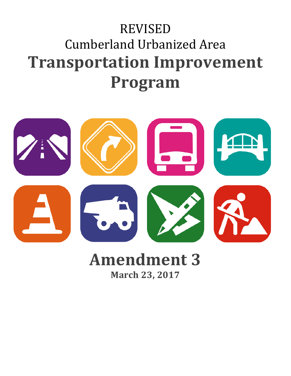# REVISED Cumberland Urbanized Area **Transportation Improvement Program**



## **Amendment 3 March 23, 2017**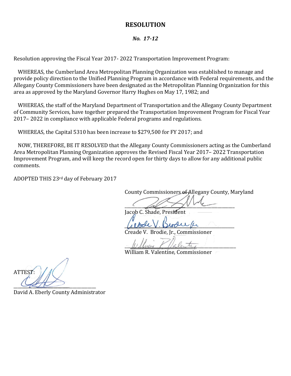#### **RESOLUTION**

#### *No. 17-12*

Resolution approving the Fiscal Year 2017- 2022 Transportation Improvement Program:

WHEREAS, the Cumberland Area Metropolitan Planning Organization was established to manage and provide policy direction to the Unified Planning Program in accordance with Federal requirements, and the Allegany County Commissioners have been designated as the Metropolitan Planning Organization for this area as approved by the Maryland Governor Harry Hughes on May 17, 1982; and

WHEREAS, the staff of the Maryland Department of Transportation and the Allegany County Department of Community Services, have together prepared the Transportation Improvement Program for Fiscal Year 2017– 2022 in compliance with applicable Federal programs and regulations.

WHEREAS, the Capital 5310 has been increase to \$279,500 for FY 2017; and

NOW, THEREFORE, BE IT RESOLVED that the Allegany County Commissioners acting as the Cumberland Area Metropolitan Planning Organization approves the Revised Fiscal Year 2017– 2022 Transportation Improvement Program, and will keep the record open for thirty days to allow for any additional public comments.

ADOPTED THIS 23rd day of February 2017

County Commissioners of Allegany County, Maryland

 $\sim$  at  $\sim$ 

Jacob C. Shade, President

*\_\_\_\_\_\_\_\_\_\_\_\_\_\_\_\_\_\_\_\_\_\_\_\_\_\_\_\_\_\_\_\_\_\_\_\_\_\_\_\_\_\_\_\_\_\_\_\_\_\_\_\_*

Creade V. Brodie, Jr., Commissioner

Willer Palenting

William R. Valentine, Commissioner

ATTEST:  $\bigcup_{i=1}^n$ 

David A. Eberly County Administrator